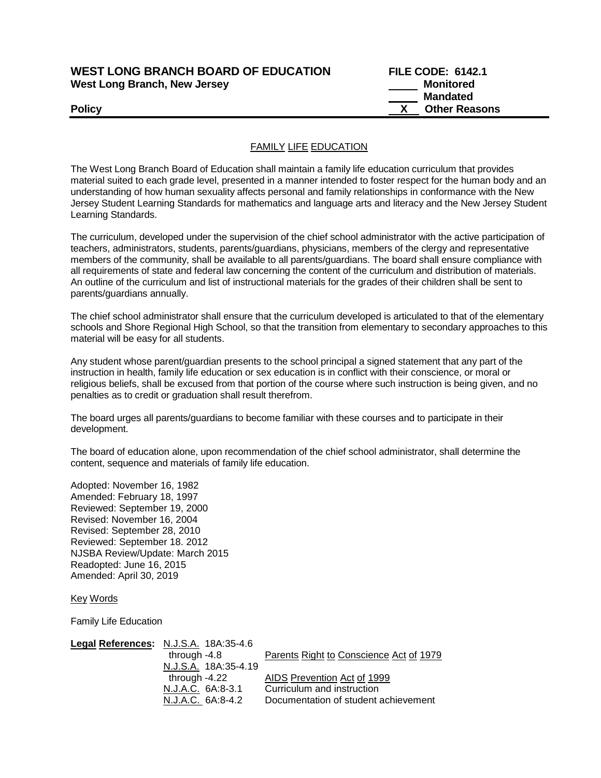| <b>WEST LONG BRANCH BOARD OF EDUCATION</b> |  |
|--------------------------------------------|--|
| <b>West Long Branch, New Jersey</b>        |  |

**WEST LONGE: 6142.1 Monitored Mandated Policy X Other Reasons**

## FAMILY LIFE EDUCATION

The West Long Branch Board of Education shall maintain a family life education curriculum that provides material suited to each grade level, presented in a manner intended to foster respect for the human body and an understanding of how human sexuality affects personal and family relationships in conformance with the New Jersey Student Learning Standards for mathematics and language arts and literacy and the New Jersey Student Learning Standards.

The curriculum, developed under the supervision of the chief school administrator with the active participation of teachers, administrators, students, parents/guardians, physicians, members of the clergy and representative members of the community, shall be available to all parents/guardians. The board shall ensure compliance with all requirements of state and federal law concerning the content of the curriculum and distribution of materials. An outline of the curriculum and list of instructional materials for the grades of their children shall be sent to parents/guardians annually.

The chief school administrator shall ensure that the curriculum developed is articulated to that of the elementary schools and Shore Regional High School, so that the transition from elementary to secondary approaches to this material will be easy for all students.

Any student whose parent/guardian presents to the school principal a signed statement that any part of the instruction in health, family life education or sex education is in conflict with their conscience, or moral or religious beliefs, shall be excused from that portion of the course where such instruction is being given, and no penalties as to credit or graduation shall result therefrom.

The board urges all parents/guardians to become familiar with these courses and to participate in their development.

The board of education alone, upon recommendation of the chief school administrator, shall determine the content, sequence and materials of family life education.

Adopted: November 16, 1982 Amended: February 18, 1997 Reviewed: September 19, 2000 Revised: November 16, 2004 Revised: September 28, 2010 Reviewed: September 18. 2012 NJSBA Review/Update: March 2015 Readopted: June 16, 2015 Amended: April 30, 2019

Key Words

Family Life Education

| Legal References: N.J.S.A. 18A:35-4.6 |                                         |
|---------------------------------------|-----------------------------------------|
| through $-4.8$                        | Parents Right to Conscience Act of 1979 |
| N.J.S.A. 18A:35-4.19                  |                                         |
| through -4.22                         | AIDS Prevention Act of 1999             |
| N.J.A.C. 6A:8-3.1                     | Curriculum and instruction              |
| N.J.A.C. 6A:8-4.2                     | Documentation of student achievement    |